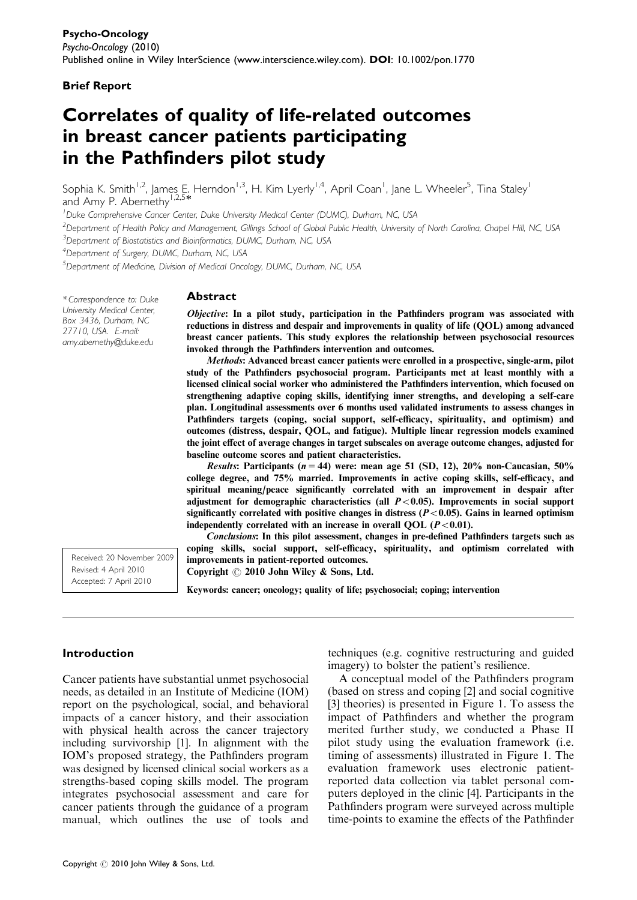### Brief Report

# Correlates of quality of life-related outcomes in breast cancer patients participating in the Pathfinders pilot study

Sophia K. Smith<sup>1,2</sup>, James E. Herndon<sup>1,3</sup>, H. Kim Lyerly<sup>1,4</sup>, April Coan<sup>1</sup>, Jane L. Wheeler<sup>5</sup>, Tina Staley<sup>1</sup> and Amy P. Abernethy<sup>1</sup>

<sup>1</sup>Duke Comprehensive Cancer Center, Duke University Medical Center (DUMC), Durham, NC, USA

 $^2$ Department of Health Policy and Management, Gillings School of Global Public Health, University of North Carolina, Chapel Hill, NC, USA

<sup>3</sup>Department of Biostatistics and Bioinformatics, DUMC, Durham, NC, USA

<sup>4</sup> Department of Surgery, DUMC, Durham, NC, USA

5 Department of Medicine, Division of Medical Oncology, DUMC, Durham, NC, USA

\* Correspondence to: Duke University Medical Center, Box 3436, Durham, NC 27710, USA. E-mail: amy.abernethy@duke.edu

#### **Abstract**

Objective: In a pilot study, participation in the Pathfinders program was associated with reductions in distress and despair and improvements in quality of life (QOL) among advanced breast cancer patients. This study explores the relationship between psychosocial resources invoked through the Pathfinders intervention and outcomes.

Methods: Advanced breast cancer patients were enrolled in a prospective, single-arm, pilot study of the Pathfinders psychosocial program. Participants met at least monthly with a licensed clinical social worker who administered the Pathfinders intervention, which focused on strengthening adaptive coping skills, identifying inner strengths, and developing a self-care plan. Longitudinal assessments over 6 months used validated instruments to assess changes in Pathfinders targets (coping, social support, self-efficacy, spirituality, and optimism) and outcomes (distress, despair, QOL, and fatigue). Multiple linear regression models examined the joint effect of average changes in target subscales on average outcome changes, adjusted for baseline outcome scores and patient characteristics.

*Results*: Participants ( $n = 44$ ) were: mean age 51 (SD, 12), 20% non-Caucasian, 50% college degree, and 75% married. Improvements in active coping skills, self-efficacy, and spiritual meaning/peace significantly correlated with an improvement in despair after adjustment for demographic characteristics (all  $P < 0.05$ ). Improvements in social support significantly correlated with positive changes in distress  $(P<0.05)$ . Gains in learned optimism independently correlated with an increase in overall OOL  $(P<0.01)$ .

Conclusions: In this pilot assessment, changes in pre-defined Pathfinders targets such as coping skills, social support, self-efficacy, spirituality, and optimism correlated with improvements in patient-reported outcomes.

Copyright  $\odot$  2010 John Wiley & Sons, Ltd.

Keywords: cancer; oncology; quality of life; psychosocial; coping; intervention

#### Introduction

Received: 20 November 2009 Revised: 4 April 2010 Accepted: 7 April 2010

Cancer patients have substantial unmet psychosocial needs, as detailed in an Institute of Medicine (IOM) report on the psychological, social, and behavioral impacts of a cancer history, and their association with physical health across the cancer trajectory including survivorship [1]. In alignment with the IOM's proposed strategy, the Pathfinders program was designed by licensed clinical social workers as a strengths-based coping skills model. The program integrates psychosocial assessment and care for cancer patients through the guidance of a program manual, which outlines the use of tools and

techniques (e.g. cognitive restructuring and guided imagery) to bolster the patient's resilience.

A conceptual model of the Pathfinders program (based on stress and coping [2] and social cognitive [3] theories) is presented in Figure 1. To assess the impact of Pathfinders and whether the program merited further study, we conducted a Phase II pilot study using the evaluation framework (i.e. timing of assessments) illustrated in Figure 1. The evaluation framework uses electronic patientreported data collection via tablet personal computers deployed in the clinic [4]. Participants in the Pathfinders program were surveyed across multiple time-points to examine the effects of the Pathfinder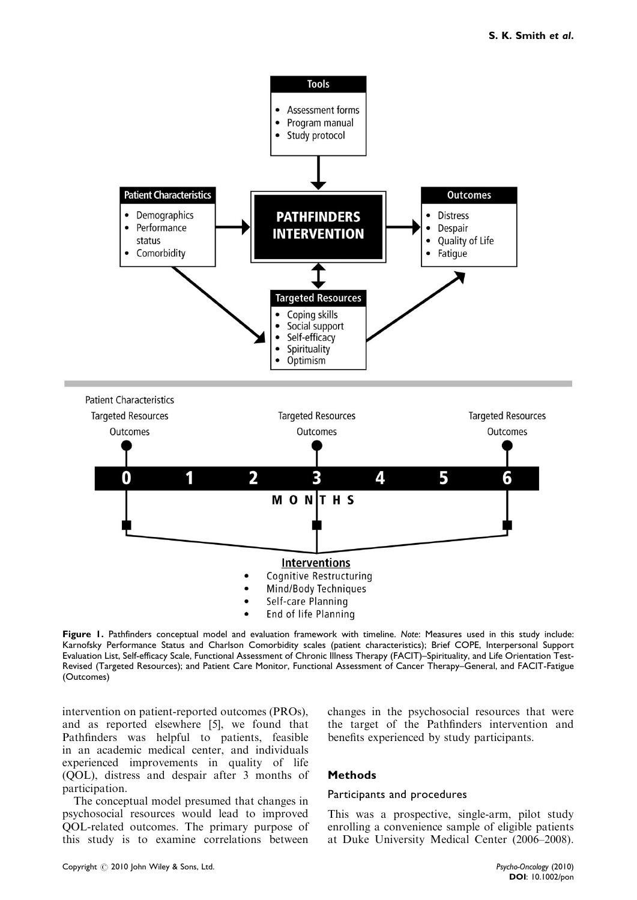

Figure 1. Pathfinders conceptual model and evaluation framework with timeline. Note: Measures used in this study include: Karnofsky Performance Status and Charlson Comorbidity scales (patient characteristics); Brief COPE, Interpersonal Support Evaluation List, Self-efficacy Scale, Functional Assessment of Chronic Illness Therapy (FACIT)–Spirituality, and Life Orientation Test-Revised (Targeted Resources); and Patient Care Monitor, Functional Assessment of Cancer Therapy–General, and FACIT-Fatigue (Outcomes)

intervention on patient-reported outcomes (PROs), and as reported elsewhere [5], we found that Pathfinders was helpful to patients, feasible in an academic medical center, and individuals experienced improvements in quality of life (QOL), distress and despair after 3 months of participation.

The conceptual model presumed that changes in psychosocial resources would lead to improved QOL-related outcomes. The primary purpose of this study is to examine correlations between changes in the psychosocial resources that were the target of the Pathfinders intervention and benefits experienced by study participants.

## Methods

#### Participants and procedures

This was a prospective, single-arm, pilot study enrolling a convenience sample of eligible patients at Duke University Medical Center (2006–2008).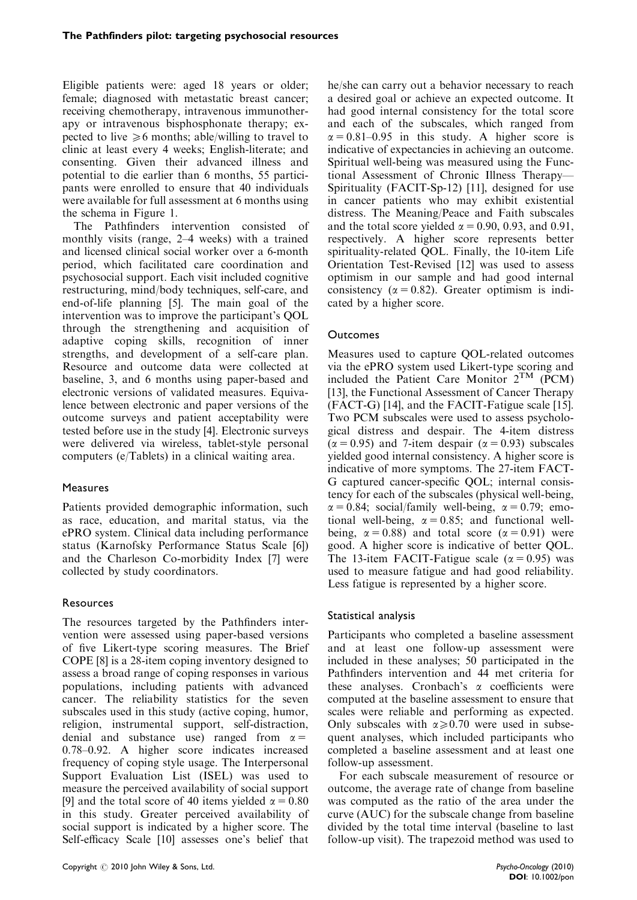Eligible patients were: aged 18 years or older; female; diagnosed with metastatic breast cancer; receiving chemotherapy, intravenous immunotherapy or intravenous bisphosphonate therapy; expected to live  $\geq 6$  months; able/willing to travel to clinic at least every 4 weeks; English-literate; and consenting. Given their advanced illness and potential to die earlier than 6 months, 55 participants were enrolled to ensure that 40 individuals were available for full assessment at 6 months using the schema in Figure 1.

The Pathfinders intervention consisted of monthly visits (range, 2–4 weeks) with a trained and licensed clinical social worker over a 6-month period, which facilitated care coordination and psychosocial support. Each visit included cognitive restructuring, mind/body techniques, self-care, and end-of-life planning [5]. The main goal of the intervention was to improve the participant's QOL through the strengthening and acquisition of adaptive coping skills, recognition of inner strengths, and development of a self-care plan. Resource and outcome data were collected at baseline, 3, and 6 months using paper-based and electronic versions of validated measures. Equivalence between electronic and paper versions of the outcome surveys and patient acceptability were tested before use in the study [4]. Electronic surveys were delivered via wireless, tablet-style personal computers (e/Tablets) in a clinical waiting area.

# **Measures**

Patients provided demographic information, such as race, education, and marital status, via the ePRO system. Clinical data including performance status (Karnofsky Performance Status Scale [6]) and the Charleson Co-morbidity Index [7] were collected by study coordinators.

# Resources

The resources targeted by the Pathfinders intervention were assessed using paper-based versions of five Likert-type scoring measures. The Brief COPE [8] is a 28-item coping inventory designed to assess a broad range of coping responses in various populations, including patients with advanced cancer. The reliability statistics for the seven subscales used in this study (active coping, humor, religion, instrumental support, self-distraction, denial and substance use) ranged from  $\alpha =$ 0.78–0.92. A higher score indicates increased frequency of coping style usage. The Interpersonal Support Evaluation List (ISEL) was used to measure the perceived availability of social support [9] and the total score of 40 items yielded  $\alpha = 0.80$ in this study. Greater perceived availability of social support is indicated by a higher score. The Self-efficacy Scale [10] assesses one's belief that he/she can carry out a behavior necessary to reach a desired goal or achieve an expected outcome. It had good internal consistency for the total score and each of the subscales, which ranged from  $\alpha = 0.81 - 0.95$  in this study. A higher score is indicative of expectancies in achieving an outcome. Spiritual well-being was measured using the Functional Assessment of Chronic Illness Therapy— Spirituality (FACIT-Sp-12) [11], designed for use in cancer patients who may exhibit existential distress. The Meaning/Peace and Faith subscales and the total score yielded  $\alpha = 0.90, 0.93,$  and 0.91, respectively. A higher score represents better spirituality-related QOL. Finally, the 10-item Life Orientation Test-Revised [12] was used to assess optimism in our sample and had good internal consistency ( $\alpha = 0.82$ ). Greater optimism is indicated by a higher score.

# **Outcomes**

Measures used to capture QOL-related outcomes via the ePRO system used Likert-type scoring and included the Patient Care Monitor  $2^{TM}$  (PCM) [13], the Functional Assessment of Cancer Therapy (FACT-G) [14], and the FACIT-Fatigue scale [15]. Two PCM subscales were used to assess psychological distress and despair. The 4-item distress  $(\alpha = 0.95)$  and 7-item despair  $(\alpha = 0.93)$  subscales yielded good internal consistency. A higher score is indicative of more symptoms. The 27-item FACT-G captured cancer-specific QOL; internal consistency for each of the subscales (physical well-being,  $\alpha = 0.84$ ; social/family well-being,  $\alpha = 0.79$ ; emotional well-being,  $\alpha = 0.85$ ; and functional wellbeing,  $\alpha = 0.88$ ) and total score ( $\alpha = 0.91$ ) were good. A higher score is indicative of better QOL. The 13-item FACIT-Fatigue scale ( $\alpha = 0.95$ ) was used to measure fatigue and had good reliability. Less fatigue is represented by a higher score.

# Statistical analysis

Participants who completed a baseline assessment and at least one follow-up assessment were included in these analyses; 50 participated in the Pathfinders intervention and 44 met criteria for these analyses. Cronbach's  $\alpha$  coefficients were computed at the baseline assessment to ensure that scales were reliable and performing as expected. Only subscales with  $\alpha \geq 0.70$  were used in subsequent analyses, which included participants who completed a baseline assessment and at least one follow-up assessment.

For each subscale measurement of resource or outcome, the average rate of change from baseline was computed as the ratio of the area under the curve (AUC) for the subscale change from baseline divided by the total time interval (baseline to last follow-up visit). The trapezoid method was used to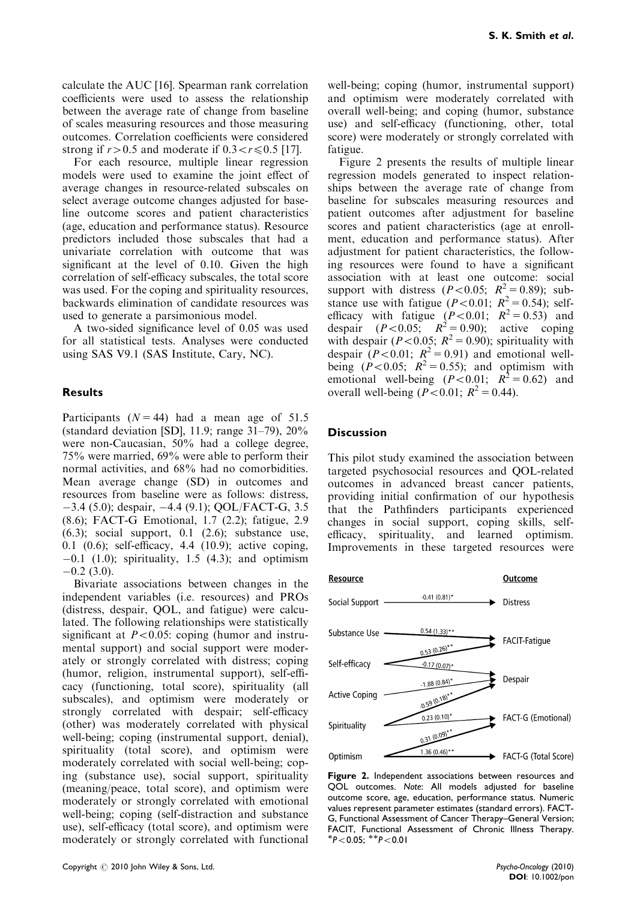calculate the AUC [16]. Spearman rank correlation coefficients were used to assess the relationship between the average rate of change from baseline of scales measuring resources and those measuring outcomes. Correlation coefficients were considered strong if  $r>0.5$  and moderate if  $0.3 < r \le 0.5$  [17].

For each resource, multiple linear regression models were used to examine the joint effect of average changes in resource-related subscales on select average outcome changes adjusted for baseline outcome scores and patient characteristics (age, education and performance status). Resource predictors included those subscales that had a univariate correlation with outcome that was significant at the level of 0.10. Given the high correlation of self-efficacy subscales, the total score was used. For the coping and spirituality resources, backwards elimination of candidate resources was used to generate a parsimonious model.

A two-sided significance level of 0.05 was used for all statistical tests. Analyses were conducted using SAS V9.1 (SAS Institute, Cary, NC).

## Results

Participants ( $N = 44$ ) had a mean age of 51.5 (standard deviation [SD], 11.9; range 31–79), 20% were non-Caucasian, 50% had a college degree, 75% were married, 69% were able to perform their normal activities, and 68% had no comorbidities. Mean average change (SD) in outcomes and resources from baseline were as follows: distress, -3.4 (5.0); despair, -4.4 (9.1); QOL/FACT-G, 3.5 (8.6); FACT-G Emotional, 1.7 (2.2); fatigue, 2.9  $(6.3)$ ; social support, 0.1  $(2.6)$ ; substance use, 0.1 (0.6); self-efficacy, 4.4 (10.9); active coping, -0.1 (1.0); spirituality, 1.5 (4.3); and optimism  $-0.2$  (3.0).

Bivariate associations between changes in the independent variables (i.e. resources) and PROs (distress, despair, QOL, and fatigue) were calculated. The following relationships were statistically significant at  $P < 0.05$ : coping (humor and instrumental support) and social support were moderately or strongly correlated with distress; coping (humor, religion, instrumental support), self-efficacy (functioning, total score), spirituality (all subscales), and optimism were moderately or strongly correlated with despair; self-efficacy (other) was moderately correlated with physical well-being; coping (instrumental support, denial), spirituality (total score), and optimism were moderately correlated with social well-being; coping (substance use), social support, spirituality (meaning/peace, total score), and optimism were moderately or strongly correlated with emotional well-being; coping (self-distraction and substance use), self-efficacy (total score), and optimism were moderately or strongly correlated with functional

well-being; coping (humor, instrumental support) and optimism were moderately correlated with overall well-being; and coping (humor, substance use) and self-efficacy (functioning, other, total score) were moderately or strongly correlated with fatigue.

Figure 2 presents the results of multiple linear regression models generated to inspect relationships between the average rate of change from baseline for subscales measuring resources and patient outcomes after adjustment for baseline scores and patient characteristics (age at enrollment, education and performance status). After adjustment for patient characteristics, the following resources were found to have a significant association with at least one outcome: social support with distress  $(P<0.05; R^2=0.89)$ ; substance use with fatigue ( $P < 0.01$ ;  $R^2 = 0.54$ ); selfefficacy with fatigue  $(P<0.01; R^2 = 0.53)$  and despair  $(P<0.05; R^2=0.90)$ ; active coping with despair ( $P < 0.05$ ;  $R^2 = 0.90$ ); spirituality with despair ( $P < 0.01$ ;  $R^2 = 0.91$ ) and emotional wellbeing  $(P<0.05; R^2=0.55)$ ; and optimism with emotional well-being  $(P<0.01; R^2 = 0.62)$  and overall well-being  $(P < 0.01; R^2 = 0.44)$ .

## **Discussion**

This pilot study examined the association between targeted psychosocial resources and QOL-related outcomes in advanced breast cancer patients, providing initial confirmation of our hypothesis that the Pathfinders participants experienced changes in social support, coping skills, selfefficacy, spirituality, and learned optimism. Improvements in these targeted resources were



Figure 2. Independent associations between resources and QOL outcomes. Note: All models adjusted for baseline outcome score, age, education, performance status. Numeric values represent parameter estimates (standard errors). FACT-G, Functional Assessment of Cancer Therapy–General Version; FACIT, Functional Assessment of Chronic Illness Therapy.  $*P < 0.05$ ;  $*P < 0.01$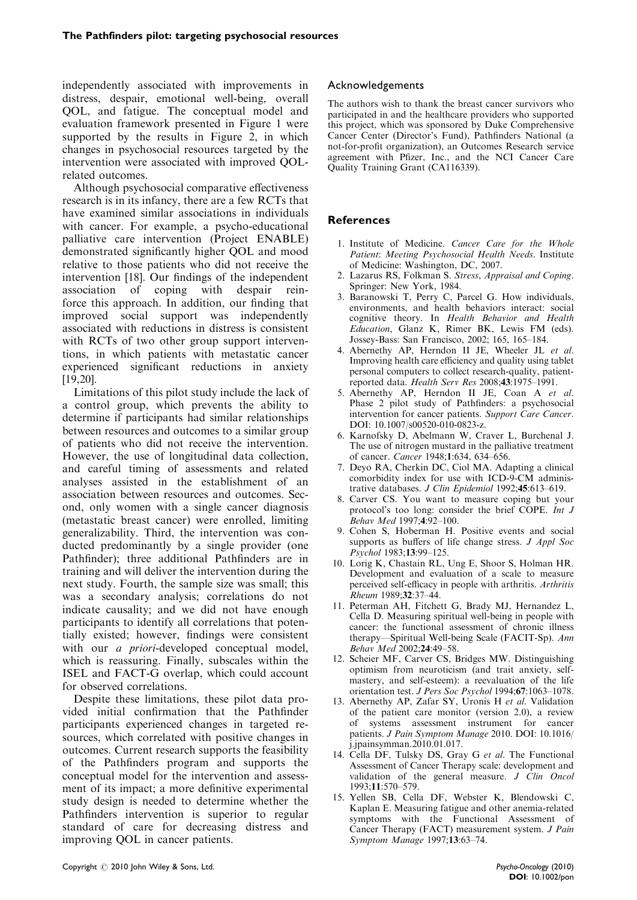independently associated with improvements in distress, despair, emotional well-being, overall QOL, and fatigue. The conceptual model and evaluation framework presented in Figure 1 were supported by the results in Figure 2, in which changes in psychosocial resources targeted by the intervention were associated with improved QOLrelated outcomes.

Although psychosocial comparative effectiveness research is in its infancy, there are a few RCTs that have examined similar associations in individuals with cancer. For example, a psycho-educational palliative care intervention (Project ENABLE) demonstrated significantly higher QOL and mood relative to those patients who did not receive the intervention [18]. Our findings of the independent association of coping with despair reinforce this approach. In addition, our finding that improved social support was independently associated with reductions in distress is consistent with RCTs of two other group support interventions, in which patients with metastatic cancer experienced significant reductions in anxiety [19,20].

Limitations of this pilot study include the lack of a control group, which prevents the ability to determine if participants had similar relationships between resources and outcomes to a similar group of patients who did not receive the intervention. However, the use of longitudinal data collection, and careful timing of assessments and related analyses assisted in the establishment of an association between resources and outcomes. Second, only women with a single cancer diagnosis (metastatic breast cancer) were enrolled, limiting generalizability. Third, the intervention was conducted predominantly by a single provider (one Pathfinder); three additional Pathfinders are in training and will deliver the intervention during the next study. Fourth, the sample size was small; this was a secondary analysis; correlations do not indicate causality; and we did not have enough participants to identify all correlations that potentially existed; however, findings were consistent with our *a priori*-developed conceptual model, which is reassuring. Finally, subscales within the ISEL and FACT-G overlap, which could account for observed correlations.

Despite these limitations, these pilot data provided initial confirmation that the Pathfinder participants experienced changes in targeted resources, which correlated with positive changes in outcomes. Current research supports the feasibility of the Pathfinders program and supports the conceptual model for the intervention and assessment of its impact; a more definitive experimental study design is needed to determine whether the Pathfinders intervention is superior to regular standard of care for decreasing distress and improving QOL in cancer patients.

# Acknowledgements

The authors wish to thank the breast cancer survivors who participated in and the healthcare providers who supported this project, which was sponsored by Duke Comprehensive Cancer Center (Director's Fund), Pathfinders National (a not-for-profit organization), an Outcomes Research service agreement with Pfizer, Inc., and the NCI Cancer Care Quality Training Grant (CA116339).

# References

- 1. Institute of Medicine. Cancer Care for the Whole Patient: Meeting Psychosocial Health Needs. Institute of Medicine: Washington, DC, 2007.
- 2. Lazarus RS, Folkman S. Stress, Appraisal and Coping. Springer: New York, 1984.
- 3. Baranowski T, Perry C, Parcel G. How individuals, environments, and health behaviors interact: social cognitive theory. In Health Behavior and Health Education, Glanz K, Rimer BK, Lewis FM (eds). Jossey-Bass: San Francisco, 2002; 165, 165–184.
- 4. Abernethy AP, Herndon II JE, Wheeler JL et al. Improving health care efficiency and quality using tablet personal computers to collect research-quality, patientreported data. Health Serv Res 2008;43:1975–1991.
- 5. Abernethy AP, Herndon II JE, Coan A et al. Phase 2 pilot study of Pathfinders: a psychosocial intervention for cancer patients. Support Care Cancer. DOI: 10.1007/s00520-010-0823-z.
- 6. Karnofsky D, Abelmann W, Craver L, Burchenal J. The use of nitrogen mustard in the palliative treatment of cancer. Cancer 1948;1:634, 634–656.
- 7. Deyo RA, Cherkin DC, Ciol MA. Adapting a clinical comorbidity index for use with ICD-9-CM administrative databases. J Clin Epidemiol 1992;45:613–619.
- 8. Carver CS. You want to measure coping but your protocol's too long: consider the brief COPE. Int J Behav Med 1997;4:92–100.
- 9. Cohen S, Hoberman H. Positive events and social supports as buffers of life change stress. *J Appl Soc* Psychol 1983;13:99–125.
- 10. Lorig K, Chastain RL, Ung E, Shoor S, Holman HR. Development and evaluation of a scale to measure perceived self-efficacy in people with arthritis. Arthritis Rheum 1989;32:37–44.
- 11. Peterman AH, Fitchett G, Brady MJ, Hernandez L, Cella D. Measuring spiritual well-being in people with cancer: the functional assessment of chronic illness therapy—Spiritual Well-being Scale (FACIT-Sp). Ann Behav Med 2002;24:49–58.
- 12. Scheier MF, Carver CS, Bridges MW. Distinguishing optimism from neuroticism (and trait anxiety, selfmastery, and self-esteem): a reevaluation of the life orientation test. J Pers Soc Psychol 1994;67:1063–1078.
- 13. Abernethy AP, Zafar SY, Uronis H et al. Validation of the patient care monitor (version 2.0), a review of systems assessment instrument for cancer patients. J Pain Symptom Manage 2010. DOI: 10.1016/ j.jpainsymman.2010.01.017.
- 14. Cella DF, Tulsky DS, Gray G et al. The Functional Assessment of Cancer Therapy scale: development and validation of the general measure. J Clin Oncol 1993;11:570–579.
- 15. Yellen SB, Cella DF, Webster K, Blendowski C, Kaplan E. Measuring fatigue and other anemia-related symptoms with the Functional Assessment of Cancer Therapy (FACT) measurement system. J Pain Symptom Manage 1997;13:63–74.